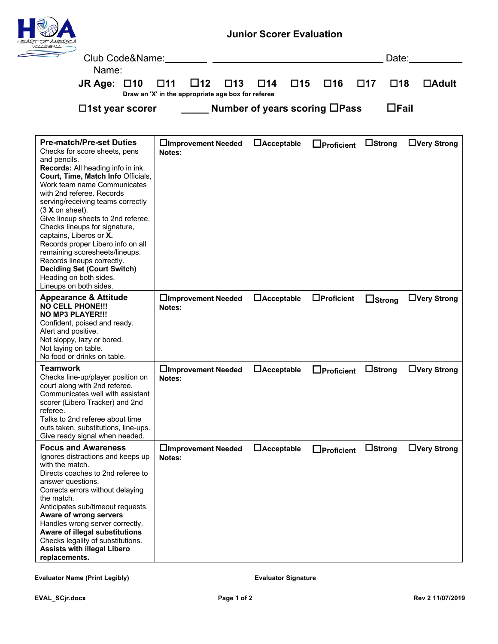| X/ERAY/                                                                                                                                                                                                                                                                                                                                                                                                                                                                                                                                                                                    |                                                                                                 | <b>Junior Scorer Evaluation</b> |                   |                           |                    |  |  |
|--------------------------------------------------------------------------------------------------------------------------------------------------------------------------------------------------------------------------------------------------------------------------------------------------------------------------------------------------------------------------------------------------------------------------------------------------------------------------------------------------------------------------------------------------------------------------------------------|-------------------------------------------------------------------------------------------------|---------------------------------|-------------------|---------------------------|--------------------|--|--|
| Club Code&Name:<br>Name:                                                                                                                                                                                                                                                                                                                                                                                                                                                                                                                                                                   |                                                                                                 |                                 |                   |                           | Date:              |  |  |
| JR Age: $\Box$ 10                                                                                                                                                                                                                                                                                                                                                                                                                                                                                                                                                                          | $\square$ 12<br>$\square$ 13<br>$\Box$ 11<br>Draw an 'X' in the appropriate age box for referee | $\square$ 15<br>$\Box$ 14       | $\square$ 16      | $\Box$ 17<br>$\square$ 18 | $\Box$ Adult       |  |  |
| $\Box$ 1st year scorer                                                                                                                                                                                                                                                                                                                                                                                                                                                                                                                                                                     | $\Box$ Fail<br><b>Number of years scoring <math>\Box</math>Pass</b>                             |                                 |                   |                           |                    |  |  |
| <b>Pre-match/Pre-set Duties</b><br>Checks for score sheets, pens<br>and pencils.<br>Records: All heading info in ink.<br>Court, Time, Match Info Officials,<br>Work team name Communicates<br>with 2nd referee. Records<br>serving/receiving teams correctly<br>$(3 X \text{ on sheet}).$<br>Give lineup sheets to 2nd referee.<br>Checks lineups for signature,<br>captains, Liberos or X.<br>Records proper Libero info on all<br>remaining scoresheets/lineups.<br>Records lineups correctly.<br><b>Deciding Set (Court Switch)</b><br>Heading on both sides.<br>Lineups on both sides. | □Improvement Needed<br>Notes:                                                                   | $\Box$ Acceptable               | $\Box$ Proficient | $\Box$ Strong             | $\Box$ Very Strong |  |  |
| <b>Appearance &amp; Attitude</b><br><b>NO CELL PHONE!!!</b><br><b>NO MP3 PLAYER!!!</b><br>Confident, poised and ready.<br>Alert and positive.<br>Not sloppy, lazy or bored.<br>Not laying on table.<br>No food or drinks on table.                                                                                                                                                                                                                                                                                                                                                         | □Improvement Needed<br>Notes:                                                                   | $\Box$ Acceptable               | $\Box$ Proficient | $\Box$ Strong             | $\Box$ Very Strong |  |  |
| <b>Teamwork</b><br>Checks line-up/player position on<br>court along with 2nd referee.<br>Communicates well with assistant<br>scorer (Libero Tracker) and 2nd<br>referee.<br>Talks to 2nd referee about time<br>outs taken, substitutions, line-ups.<br>Give ready signal when needed.                                                                                                                                                                                                                                                                                                      | □Improvement Needed<br>Notes:                                                                   | $\Box$ Acceptable               | $\Box$ Proficient | $\Box$ Strong             | $\Box$ Very Strong |  |  |
| <b>Focus and Awareness</b><br>Ignores distractions and keeps up<br>with the match.<br>Directs coaches to 2nd referee to<br>answer questions.<br>Corrects errors without delaying<br>the match.<br>Anticipates sub/timeout requests.<br>Aware of wrong servers<br>Handles wrong server correctly.<br>Aware of illegal substitutions<br>Checks legality of substitutions.<br><b>Assists with illegal Libero</b><br>replacements.                                                                                                                                                             | □Improvement Needed<br>Notes:                                                                   | $\Box$ Acceptable               | $\Box$ Proficient | $\Box$ Strong             | □Very Strong       |  |  |

Evaluator Name (Print Legibly) **Evaluator Signature**